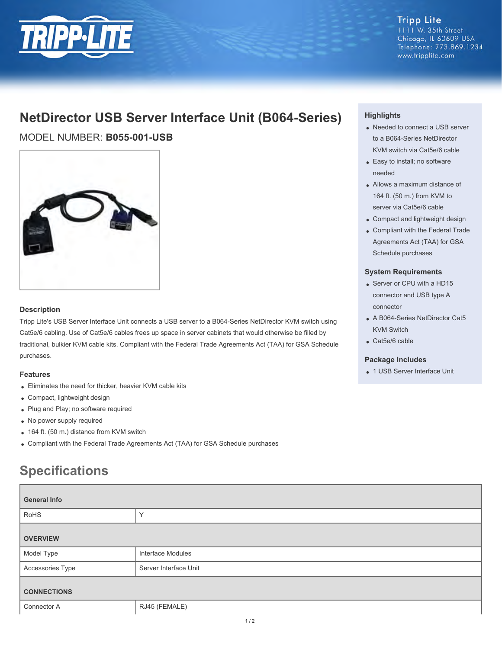

**Tripp Lite** 1111 W. 35th Street Chicago, IL 60609 USA Telephone: 773.869.1234 www.tripplite.com

# **NetDirector USB Server Interface Unit (B064-Series)**

MODEL NUMBER: **B055-001-USB**



### **Description**

Tripp Lite's USB Server Interface Unit connects a USB server to a B064-Series NetDirector KVM switch using Cat5e/6 cabling. Use of Cat5e/6 cables frees up space in server cabinets that would otherwise be filled by traditional, bulkier KVM cable kits. Compliant with the Federal Trade Agreements Act (TAA) for GSA Schedule purchases.

### **Features**

- Eliminates the need for thicker, heavier KVM cable kits
- Compact, lightweight design
- Plug and Play; no software required
- No power supply required
- 164 ft. (50 m.) distance from KVM switch
- Compliant with the Federal Trade Agreements Act (TAA) for GSA Schedule purchases

# **Specifications**

| <b>General Info</b> |                       |
|---------------------|-----------------------|
| RoHS                | $\checkmark$          |
| <b>OVERVIEW</b>     |                       |
| Model Type          | Interface Modules     |
| Accessories Type    | Server Interface Unit |
| <b>CONNECTIONS</b>  |                       |
| Connector A         | RJ45 (FEMALE)         |

### **Highlights**

- Needed to connect a USB server to a B064-Series NetDirector KVM switch via Cat5e/6 cable
- Easy to install; no software needed
- Allows a maximum distance of 164 ft. (50 m.) from KVM to server via Cat5e/6 cable
- Compact and lightweight design
- Compliant with the Federal Trade Agreements Act (TAA) for GSA Schedule purchases

#### **System Requirements**

- Server or CPU with a HD15 connector and USB type A connector
- A B064-Series NetDirector Cat5 KVM Switch
- Cat5e/6 cable

#### **Package Includes**

1 USB Server Interface Unit